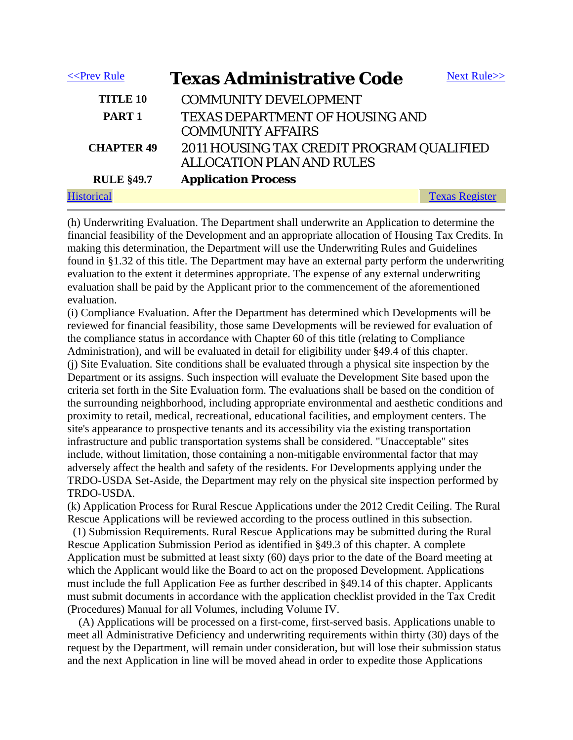| $<<$ Prev Rule    | <b>Texas Administrative Code</b>                                              | Next Rule $>>$        |
|-------------------|-------------------------------------------------------------------------------|-----------------------|
| <b>TITLE 10</b>   | <b>COMMUNITY DEVELOPMENT</b>                                                  |                       |
| PART <sub>1</sub> | <b>TEXAS DEPARTMENT OF HOUSING AND</b><br><b>COMMUNITY AFFAIRS</b>            |                       |
| <b>CHAPTER 49</b> | 2011 HOUSING TAX CREDIT PROGRAM QUALIFIED<br><b>ALLOCATION PLAN AND RULES</b> |                       |
| <b>RULE §49.7</b> | <b>Application Process</b>                                                    |                       |
|                   |                                                                               | <b>Texas Register</b> |

(h) Underwriting Evaluation. The Department shall underwrite an Application to determine the financial feasibility of the Development and an appropriate allocation of Housing Tax Credits. In making this determination, the Department will use the Underwriting Rules and Guidelines found in §1.32 of this title. The Department may have an external party perform the underwriting evaluation to the extent it determines appropriate. The expense of any external underwriting evaluation shall be paid by the Applicant prior to the commencement of the aforementioned evaluation.

(i) Compliance Evaluation. After the Department has determined which Developments will be reviewed for financial feasibility, those same Developments will be reviewed for evaluation of the compliance status in accordance with Chapter 60 of this title (relating to Compliance Administration), and will be evaluated in detail for eligibility under §49.4 of this chapter. (j) Site Evaluation. Site conditions shall be evaluated through a physical site inspection by the Department or its assigns. Such inspection will evaluate the Development Site based upon the criteria set forth in the Site Evaluation form. The evaluations shall be based on the condition of the surrounding neighborhood, including appropriate environmental and aesthetic conditions and proximity to retail, medical, recreational, educational facilities, and employment centers. The site's appearance to prospective tenants and its accessibility via the existing transportation infrastructure and public transportation systems shall be considered. "Unacceptable" sites include, without limitation, those containing a non-mitigable environmental factor that may adversely affect the health and safety of the residents. For Developments applying under the TRDO-USDA Set-Aside, the Department may rely on the physical site inspection performed by TRDO-USDA.

(k) Application Process for Rural Rescue Applications under the 2012 Credit Ceiling. The Rural Rescue Applications will be reviewed according to the process outlined in this subsection.

 (1) Submission Requirements. Rural Rescue Applications may be submitted during the Rural Rescue Application Submission Period as identified in §49.3 of this chapter. A complete Application must be submitted at least sixty (60) days prior to the date of the Board meeting at which the Applicant would like the Board to act on the proposed Development. Applications must include the full Application Fee as further described in §49.14 of this chapter. Applicants must submit documents in accordance with the application checklist provided in the Tax Credit (Procedures) Manual for all Volumes, including Volume IV.

 (A) Applications will be processed on a first-come, first-served basis. Applications unable to meet all Administrative Deficiency and underwriting requirements within thirty (30) days of the request by the Department, will remain under consideration, but will lose their submission status and the next Application in line will be moved ahead in order to expedite those Applications